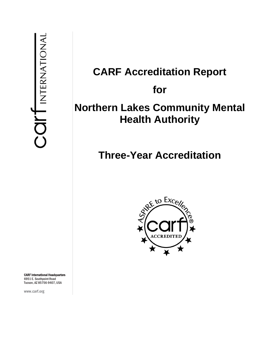# **CARF Accreditation Report for Northern Lakes Community Mental Health Authority**

# **Three-Year Accreditation**



CARF International Headquarters 6951 E. Southpoint Road Tucson, AZ 85756-9407, USA

www.carf.org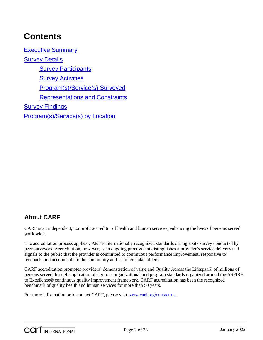# **Contents**

[Executive Summary](#page-3-0) [Survey Details](#page-4-0) **[Survey Participants](#page-4-1) [Survey Activities](#page-4-2)** [Program\(s\)/Service\(s\) Surveyed](#page-5-0) [Representations and Constraints](#page-5-1) **[Survey Findings](#page-5-2)** [Program\(s\)/Service\(s\) by Location](#page-31-0)

# **About CARF**

CARF is an independent, nonprofit accreditor of health and human services, enhancing the lives of persons served worldwide.

The accreditation process applies CARF's internationally recognized standards during a site survey conducted by peer surveyors. Accreditation, however, is an ongoing process that distinguishes a provider's service delivery and signals to the public that the provider is committed to continuous performance improvement, responsive to feedback, and accountable to the community and its other stakeholders.

CARF accreditation promotes providers' demonstration of value and Quality Across the Lifespan® of millions of persons served through application of rigorous organizational and program standards organized around the ASPIRE to Excellence® continuous quality improvement framework. CARF accreditation has been the recognized benchmark of quality health and human services for more than 50 years.

For more information or to contact CARF, please visit [www.carf.org/contact-us.](http://www.carf.org/contact-us)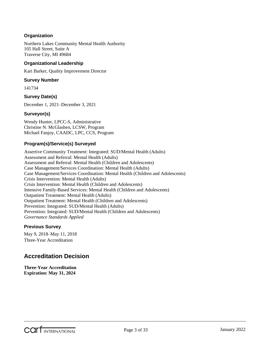#### **Organization**

Northern Lakes Community Mental Health Authority 105 Hall Street, Suite A Traverse City, MI 49684

#### **Organizational Leadership**

Kari Barker, Quality Improvement Director

#### **Survey Number**

141734

#### **Survey Date(s)**

December 1, 2021–December 3, 2021

#### **Surveyor(s)**

Wendy Hunter, LPCC-S, Administrative Christine N. McGlashen, LCSW, Program Michael Fanjoy, CAADC, LPC, CCS, Program

#### **Program(s)/Service(s) Surveyed**

Assertive Community Treatment: Integrated: SUD/Mental Health (Adults) Assessment and Referral: Mental Health (Adults) Assessment and Referral: Mental Health (Children and Adolescents) Case Management/Services Coordination: Mental Health (Adults) Case Management/Services Coordination: Mental Health (Children and Adolescents) Crisis Intervention: Mental Health (Adults) Crisis Intervention: Mental Health (Children and Adolescents) Intensive Family-Based Services: Mental Health (Children and Adolescents) Outpatient Treatment: Mental Health (Adults) Outpatient Treatment: Mental Health (Children and Adolescents) Prevention: Integrated: SUD/Mental Health (Adults) Prevention: Integrated: SUD/Mental Health (Children and Adolescents) *Governance Standards Applied*

#### **Previous Survey**

May 9, 2018–May 11, 2018 Three-Year Accreditation

### **Accreditation Decision**

**Three-Year Accreditation Expiration: May 31, 2024**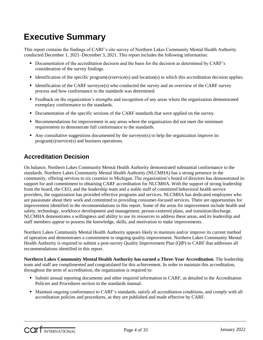# <span id="page-3-0"></span>**Executive Summary**

This report contains the findings of CARF's site survey of Northern Lakes Community Mental Health Authority conducted December 1, 2021–December 3, 2021. This report includes the following information:

- Documentation of the accreditation decision and the basis for the decision as determined by CARF's consideration of the survey findings.
- Identification of the specific program(s)/service(s) and location(s) to which this accreditation decision applies.
- Identification of the CARF surveyor(s) who conducted the survey and an overview of the CARF survey process and how conformance to the standards was determined.
- Feedback on the organization's strengths and recognition of any areas where the organization demonstrated exemplary conformance to the standards.
- Documentation of the specific sections of the CARF standards that were applied on the survey.
- Recommendations for improvement in any areas where the organization did not meet the minimum requirements to demonstrate full conformance to the standards.
- Any consultative suggestions documented by the surveyor(s) to help the organization improve its program(s)/service(s) and business operations.

### **Accreditation Decision**

On balance, Northern Lakes Community Mental Health Authority demonstrated substantial conformance to the standards. Northern Lakes Community Mental Health Authority (NLCMHA) has a strong presence in the community, offering services to six counties in Michigan. The organization's board of directors has demonstrated its support for and commitment to obtaining CARF accreditation for NLCMHA. With the support of strong leadership from the board, the CEO, and the leadership team and a stable staff of committed behavioral health service providers, the organization has provided effective programs and services. NLCMHA has dedicated employees who are passionate about their work and committed to providing consumer-focused services. There are opportunities for improvement identified in the recommendations in this report. Some of the areas for improvement include health and safety, technology, workforce development and management, person-centered plans, and transition/discharge. NLCMHA demonstrates a willingness and ability to use its resources to address these areas, and its leadership and staff members appear to possess the knowledge, skills, and motivation to make improvements.

Northern Lakes Community Mental Health Authority appears likely to maintain and/or improve its current method of operation and demonstrates a commitment to ongoing quality improvement. Northern Lakes Community Mental Health Authority is required to submit a post-survey Quality Improvement Plan (QIP) to CARF that addresses all recommendations identified in this report.

**Northern Lakes Community Mental Health Authority has earned a Three-Year Accreditation.** The leadership team and staff are complimented and congratulated for this achievement. In order to maintain this accreditation, throughout the term of accreditation, the organization is required to:

- Submit annual reporting documents and other required information to CARF, as detailed in the Accreditation Policies and Procedures section in the standards manual.
- Maintain ongoing conformance to CARF's standards, satisfy all accreditation conditions, and comply with all accreditation policies and procedures, as they are published and made effective by CARF.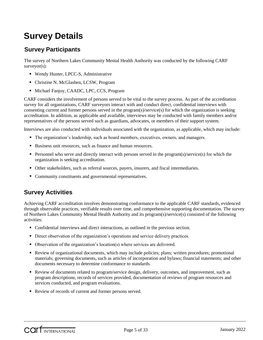# <span id="page-4-0"></span>**Survey Details**

## <span id="page-4-1"></span>**Survey Participants**

The survey of Northern Lakes Community Mental Health Authority was conducted by the following CARF surveyor(s):

- Wendy Hunter, LPCC-S, Administrative
- Christine N. McGlashen, LCSW, Program
- $\blacksquare$  Michael Fanjoy, CAADC, LPC, CCS, Program

CARF considers the involvement of persons served to be vital to the survey process. As part of the accreditation survey for all organizations, CARF surveyors interact with and conduct direct, confidential interviews with consenting current and former persons served in the program(s)/service(s) for which the organization is seeking accreditation. In addition, as applicable and available, interviews may be conducted with family members and/or representatives of the persons served such as guardians, advocates, or members of their support system.

Interviews are also conducted with individuals associated with the organization, as applicable, which may include:

- The organization's leadership, such as board members, executives, owners, and managers.
- Business unit resources, such as finance and human resources.
- **Personnel who serve and directly interact with persons served in the program(s)/service(s) for which the** organization is seeking accreditation.
- Other stakeholders, such as referral sources, payers, insurers, and fiscal intermediaries.
- Community constituents and governmental representatives.

# <span id="page-4-2"></span>**Survey Activities**

Achieving CARF accreditation involves demonstrating conformance to the applicable CARF standards, evidenced through observable practices, verifiable results over time, and comprehensive supporting documentation. The survey of Northern Lakes Community Mental Health Authority and its program(s)/service(s) consisted of the following activities:

- Confidential interviews and direct interactions, as outlined in the previous section.
- Direct observation of the organization's operations and service delivery practices.
- Observation of the organization's location(s) where services are delivered.
- Review of organizational documents, which may include policies; plans; written procedures; promotional materials; governing documents, such as articles of incorporation and bylaws; financial statements; and other documents necessary to determine conformance to standards.
- Review of documents related to program/service design, delivery, outcomes, and improvement, such as program descriptions, records of services provided, documentation of reviews of program resources and services conducted, and program evaluations.
- Review of records of current and former persons served.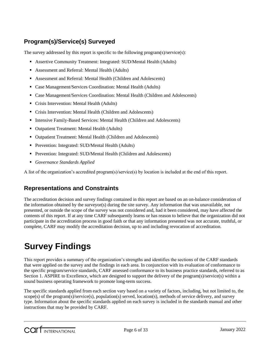# <span id="page-5-0"></span>**Program(s)/Service(s) Surveyed**

The survey addressed by this report is specific to the following program(s)/service(s):

- Assertive Community Treatment: Integrated: SUD/Mental Health (Adults)
- Assessment and Referral: Mental Health (Adults)
- Assessment and Referral: Mental Health (Children and Adolescents)
- Case Management/Services Coordination: Mental Health (Adults)
- Case Management/Services Coordination: Mental Health (Children and Adolescents)
- Crisis Intervention: Mental Health (Adults)
- Crisis Intervention: Mental Health (Children and Adolescents)
- **Intensive Family-Based Services: Mental Health (Children and Adolescents)**
- Outpatient Treatment: Mental Health (Adults)
- Outpatient Treatment: Mental Health (Children and Adolescents)
- Prevention: Integrated: SUD/Mental Health (Adults)
- **Prevention: Integrated: SUD/Mental Health (Children and Adolescents)**
- *Governance Standards Applied*

A list of the organization's accredited program(s)/service(s) by location is included at the end of this report.

### <span id="page-5-1"></span>**Representations and Constraints**

The accreditation decision and survey findings contained in this report are based on an on-balance consideration of the information obtained by the surveyor(s) during the site survey. Any information that was unavailable, not presented, or outside the scope of the survey was not considered and, had it been considered, may have affected the contents of this report. If at any time CARF subsequently learns or has reason to believe that the organization did not participate in the accreditation process in good faith or that any information presented was not accurate, truthful, or complete, CARF may modify the accreditation decision, up to and including revocation of accreditation.

# <span id="page-5-2"></span>**Survey Findings**

This report provides a summary of the organization's strengths and identifies the sections of the CARF standards that were applied on the survey and the findings in each area. In conjunction with its evaluation of conformance to the specific program/service standards, CARF assessed conformance to its business practice standards, referred to as Section 1. ASPIRE to Excellence, which are designed to support the delivery of the program(s)/service(s) within a sound business operating framework to promote long-term success.

The specific standards applied from each section vary based on a variety of factors, including, but not limited to, the scope(s) of the program(s)/service(s), population(s) served, location(s), methods of service delivery, and survey type. Information about the specific standards applied on each survey is included in the standards manual and other instructions that may be provided by CARF.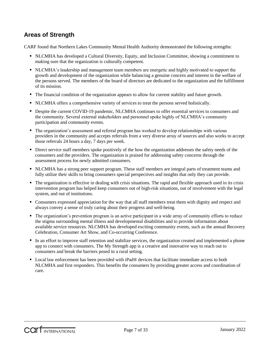## **Areas of Strength**

CARF found that Northern Lakes Community Mental Health Authority demonstrated the following strengths:

- NLCMHA has developed a Cultural Diversity, Equity, and Inclusion Committee, showing a commitment to making sure that the organization is culturally competent.
- NLCMHA's leadership and management team members are energetic and highly motivated to support the growth and development of the organization while balancing a genuine concern and interest in the welfare of the persons served. The members of the board of directors are dedicated to the organization and the fulfillment of its mission.
- The financial condition of the organization appears to allow for current stability and future growth.
- NLCMHA offers a comprehensive variety of services to treat the persons served holistically.
- Despite the current COVID-19 pandemic, NLCMHA continues to offer essential services to consumers and the community. Several external stakeholders and personnel spoke highly of NLCMHA's community participation and community events.
- The organization's assessment and referral program has worked to develop relationships with various providers in the community and accepts referrals from a very diverse array of sources and also works to accept those referrals 24 hours a day, 7 days per week.
- Direct service staff members spoke positively of the how the organization addresses the safety needs of the consumers and the providers. The organization is praised for addressing safety concerns through the assessment process for newly admitted consumers.
- NLCMHA has a strong peer support program. These staff members are integral parts of treatment teams and fully utilize their skills to bring consumers special perspectives and insights that only they can provide.
- The organization is effective in dealing with crisis situations. The rapid and flexible approach used in its crisis intervention program has helped keep consumers out of high-risk situations, out of involvement with the legal system, and out of institutions.
- Consumers expressed appreciation for the way that all staff members treat them with dignity and respect and always convey a sense of truly caring about their progress and well-being.
- The organization's prevention program is an active participant in a wide array of community efforts to reduce the stigma surrounding mental illness and developmental disabilities and to provide information about available service resources. NLCMHA has developed exciting community events, such as the annual Recovery Celebration, Consumer Art Show, and Co-occurring Conference.
- In an effort to improve staff retention and stabilize services, the organization created and implemented a phone app to connect with consumers. The My Strength app is a creative and innovative way to reach out to consumers and break the barriers posed in a rural setting.
- Local law enforcement has been provided with iPad® devices that facilitate immediate access to both NLCMHA and first responders. This benefits the consumers by providing greater access and coordination of care.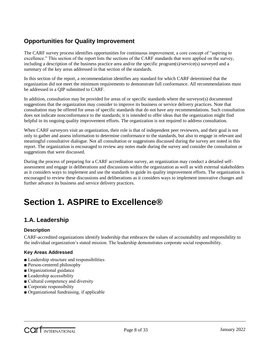# **Opportunities for Quality Improvement**

The CARF survey process identifies opportunities for continuous improvement, a core concept of "aspiring to excellence." This section of the report lists the sections of the CARF standards that were applied on the survey, including a description of the business practice area and/or the specific program(s)/service(s) surveyed and a summary of the key areas addressed in that section of the standards.

In this section of the report, a recommendation identifies any standard for which CARF determined that the organization did not meet the minimum requirements to demonstrate full conformance. All recommendations must be addressed in a QIP submitted to CARF.

In addition, consultation may be provided for areas of or specific standards where the surveyor(s) documented suggestions that the organization may consider to improve its business or service delivery practices. Note that consultation may be offered for areas of specific standards that do not have any recommendations. Such consultation does not indicate nonconformance to the standards; it is intended to offer ideas that the organization might find helpful in its ongoing quality improvement efforts. The organization is not required to address consultation.

When CARF surveyors visit an organization, their role is that of independent peer reviewers, and their goal is not only to gather and assess information to determine conformance to the standards, but also to engage in relevant and meaningful consultative dialogue. Not all consultation or suggestions discussed during the survey are noted in this report. The organization is encouraged to review any notes made during the survey and consider the consultation or suggestions that were discussed.

During the process of preparing for a CARF accreditation survey, an organization may conduct a detailed selfassessment and engage in deliberations and discussions within the organization as well as with external stakeholders as it considers ways to implement and use the standards to guide its quality improvement efforts. The organization is encouraged to review these discussions and deliberations as it considers ways to implement innovative changes and further advance its business and service delivery practices.

# **Section 1. ASPIRE to Excellence®**

## **1.A. Leadership**

#### **Description**

CARF-accredited organizations identify leadership that embraces the values of accountability and responsibility to the individual organization's stated mission. The leadership demonstrates corporate social responsibility.

- Leadership structure and responsibilities
- Person-centered philosophy
- Organizational guidance
- Leadership accessibility
- Cultural competency and diversity
- Corporate responsibility
- Organizational fundraising, if applicable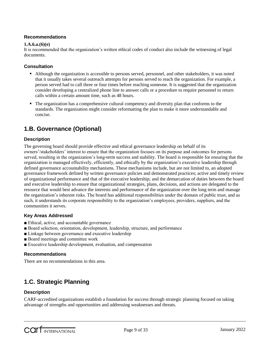#### **1.A.6.a.(6)(e)**

It is recommended that the organization's written ethical codes of conduct also include the witnessing of legal documents.

#### **Consultation**

- Although the organization is accessible to persons served, personnel, and other stakeholders, it was noted that it usually takes several outreach attempts for persons served to reach the organization. For example, a person served had to call three or four times before reaching someone. It is suggested that the organization consider developing a centralized phone line to answer calls or a procedure to require personnel to return calls within a certain amount time, such as 48 hours.
- The organization has a comprehensive cultural competency and diversity plan that conforms to the standards. The organization might consider reformatting the plan to make it more understandable and concise.

## **1.B. Governance (Optional)**

#### **Description**

The governing board should provide effective and ethical governance leadership on behalf of its owners'/stakeholders' interest to ensure that the organization focuses on its purpose and outcomes for persons served, resulting in the organization's long-term success and stability. The board is responsible for ensuring that the organization is managed effectively, efficiently, and ethically by the organization's executive leadership through defined governance accountability mechanisms. These mechanisms include, but are not limited to, an adopted governance framework defined by written governance policies and demonstrated practices; active and timely review of organizational performance and that of the executive leadership; and the demarcation of duties between the board and executive leadership to ensure that organizational strategies, plans, decisions, and actions are delegated to the resource that would best advance the interests and performance of the organization over the long term and manage the organization's inherent risks. The board has additional responsibilities under the domain of public trust, and as such, it understands its corporate responsibility to the organization's employees, providers, suppliers, and the communities it serves.

#### **Key Areas Addressed**

- Ethical, active, and accountable governance
- Board selection, orientation, development, leadership, structure, and performance
- Linkage between governance and executive leadership
- Board meetings and committee work
- Executive leadership development, evaluation, and compensation

#### **Recommendations**

There are no recommendations in this area.

# **1.C. Strategic Planning**

#### **Description**

CARF-accredited organizations establish a foundation for success through strategic planning focused on taking advantage of strengths and opportunities and addressing weaknesses and threats.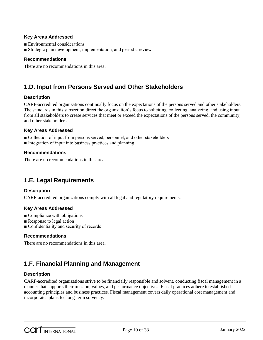#### **Key Areas Addressed**

- Environmental considerations
- Strategic plan development, implementation, and periodic review

#### **Recommendations**

There are no recommendations in this area.

## **1.D. Input from Persons Served and Other Stakeholders**

#### **Description**

CARF-accredited organizations continually focus on the expectations of the persons served and other stakeholders. The standards in this subsection direct the organization's focus to soliciting, collecting, analyzing, and using input from all stakeholders to create services that meet or exceed the expectations of the persons served, the community, and other stakeholders.

#### **Key Areas Addressed**

- Collection of input from persons served, personnel, and other stakeholders
- Integration of input into business practices and planning

#### **Recommendations**

There are no recommendations in this area.

# **1.E. Legal Requirements**

#### **Description**

CARF-accredited organizations comply with all legal and regulatory requirements.

#### **Key Areas Addressed**

- $\blacksquare$  Compliance with obligations
- Response to legal action
- Confidentiality and security of records

#### **Recommendations**

There are no recommendations in this area.

## **1.F. Financial Planning and Management**

#### **Description**

CARF-accredited organizations strive to be financially responsible and solvent, conducting fiscal management in a manner that supports their mission, values, and performance objectives. Fiscal practices adhere to established accounting principles and business practices. Fiscal management covers daily operational cost management and incorporates plans for long-term solvency.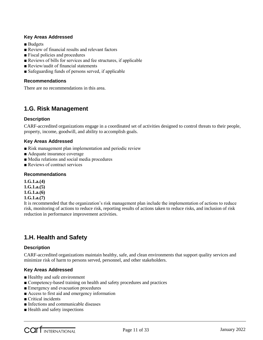#### **Key Areas Addressed**

- Budgets
- Review of financial results and relevant factors
- Fiscal policies and procedures
- Reviews of bills for services and fee structures, if applicable
- Review/audit of financial statements
- Safeguarding funds of persons served, if applicable

#### **Recommendations**

There are no recommendations in this area.

### **1.G. Risk Management**

#### **Description**

CARF-accredited organizations engage in a coordinated set of activities designed to control threats to their people, property, income, goodwill, and ability to accomplish goals.

#### **Key Areas Addressed**

- Risk management plan implementation and periodic review
- Adequate insurance coverage
- Media relations and social media procedures
- Reviews of contract services

#### **Recommendations**

**1.G.1.a.(4) 1.G.1.a.(5) 1.G.1.a.(6) 1.G.1.a.(7)**

It is recommended that the organization's risk management plan include the implementation of actions to reduce risk, monitoring of actions to reduce risk, reporting results of actions taken to reduce risks, and inclusion of risk reduction in performance improvement activities.

## **1.H. Health and Safety**

#### **Description**

CARF-accredited organizations maintain healthy, safe, and clean environments that support quality services and minimize risk of harm to persons served, personnel, and other stakeholders.

- Healthy and safe environment
- Competency-based training on health and safety procedures and practices
- Emergency and evacuation procedures
- Access to first aid and emergency information
- Critical incidents
- Infections and communicable diseases
- Health and safety inspections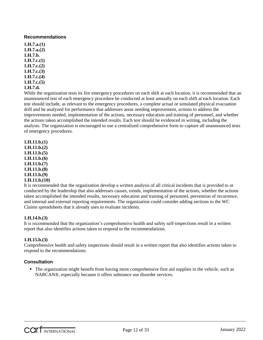**1.H.7.a.(1) 1.H.7.a.(2) 1.H.7.b. 1.H.7.c.(1) 1.H.7.c.(2) 1.H.7.c.(3) 1.H.7.c.(4) 1.H.7.c.(5) 1.H.7.d.**

While the organization tests its fire emergency procedures on each shift at each location, it is recommended that an unannounced test of each emergency procedure be conducted at least annually on each shift at each location. Each test should include, as relevant to the emergency procedures, a complete actual or simulated physical evacuation drill and be analyzed for performance that addresses areas needing improvement, actions to address the improvements needed, implementation of the actions, necessary education and training of personnel, and whether the actions taken accomplished the intended results. Each test should be evidenced in writing, including the analysis. The organization is encouraged to use a centralized comprehensive form to capture all unannounced tests of emergency procedures.

**1.H.11.b.(1) 1.H.11.b.(2) 1.H.11.b.(5) 1.H.11.b.(6) 1.H.11.b.(7) 1.H.11.b.(8) 1.H.11.b.(9) 1.H.11.b.(10)**

It is recommended that the organization develop a written analysis of all critical incidents that is provided to or conducted by the leadership that also addresses causes, trends, implementation of the actions, whether the actions taken accomplished the intended results, necessary education and training of personnel, prevention of recurrence, and internal and external reporting requirements. The organization could consider adding sections to the WC Claims spreadsheets that it already uses to evaluate incidents.

#### **1.H.14.b.(3)**

It is recommended that the organization's comprehensive health and safety self-inspections result in a written report that also identifies actions taken to respond to the recommendations.

#### **1.H.15.b.(3)**

Comprehensive health and safety inspections should result in a written report that also identifies actions taken to respond to the recommendations.

#### **Consultation**

 The organization might benefit from having more comprehensive first aid supplies in the vehicle, such as NARCAN®, especially because it offers substance use disorder services.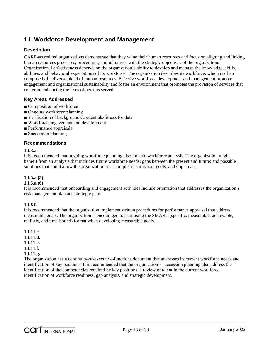## **1.I. Workforce Development and Management**

#### **Description**

CARF-accredited organizations demonstrate that they value their human resources and focus on aligning and linking human resources processes, procedures, and initiatives with the strategic objectives of the organization. Organizational effectiveness depends on the organization's ability to develop and manage the knowledge, skills, abilities, and behavioral expectations of its workforce. The organization describes its workforce, which is often composed of a diverse blend of human resources. Effective workforce development and management promote engagement and organizational sustainability and foster an environment that promotes the provision of services that center on enhancing the lives of persons served.

#### **Key Areas Addressed**

- Composition of workforce
- Ongoing workforce planning
- Verification of backgrounds/credentials/fitness for duty
- Workforce engagement and development
- Performance appraisals
- Succession planning

#### **Recommendations**

#### **1.I.3.a.**

It is recommended that ongoing workforce planning also include workforce analysis. The organization might benefit from an analysis that includes future workforce needs; gaps between the present and future; and possible solutions that could allow the organization to accomplish its mission, goals, and objectives.

#### **1.I.5.a.(5)**

#### **1.I.5.a.(6)**

It is recommended that onboarding and engagement activities include orientation that addresses the organization's risk management plan and strategic plan.

#### **1.I.8.f.**

It is recommended that the organization implement written procedures for performance appraisal that address measurable goals. The organization is encouraged to start using the SMART (specific, measurable, achievable, realistic, and time-bound) format when developing measurable goals.

**1.I.11.c. 1.I.11.d. 1.I.11.e. 1.I.11.f. 1.I.11.g.**

The organization has a continuity-of-executive-functions document that addresses its current workforce needs and identification of key positions. It is recommended that the organization's succession planning also address the identification of the competencies required by key positions, a review of talent in the current workforce, identification of workforce readiness, gap analysis, and strategic development.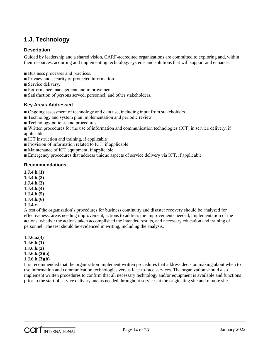# **1.J. Technology**

#### **Description**

Guided by leadership and a shared vision, CARF-accredited organizations are committed to exploring and, within their resources, acquiring and implementing technology systems and solutions that will support and enhance:

- Business processes and practices.
- Privacy and security of protected information.
- Service delivery.
- Performance management and improvement.
- Satisfaction of persons served, personnel, and other stakeholders.

#### **Key Areas Addressed**

- Ongoing assessment of technology and data use, including input from stakeholders
- Technology and system plan implementation and periodic review
- Technology policies and procedures
- Written procedures for the use of information and communication technologies (ICT) in service delivery, if applicable
- ICT instruction and training, if applicable
- Provision of information related to ICT, if applicable
- Maintenance of ICT equipment, if applicable
- Emergency procedures that address unique aspects of service delivery via ICT, if applicable

#### **Recommendations**

- **1.J.4.b.(1)**
- **1.J.4.b.(2)**
- **1.J.4.b.(3)**
- **1.J.4.b.(4)**
- **1.J.4.b.(5)**
- **1.J.4.b.(6)**

#### **1.J.4.c.**

A test of the organization's procedures for business continuity and disaster recovery should be analyzed for effectiveness, areas needing improvement, actions to address the improvements needed, implementation of the actions, whether the actions taken accomplished the intended results, and necessary education and training of personnel. The test should be evidenced in writing, including the analysis.

**1.J.6.a.(3) 1.J.6.b.(1) 1.J.6.b.(2) 1.J.6.b.(3)(a) 1.J.6.b.(3)(b)**

It is recommended that the organization implement written procedures that address decision making about when to use information and communication technologies versus face-to-face services. The organization should also implement written procedures to confirm that all necessary technology and/or equipment is available and functions prior to the start of service delivery and as needed throughout services at the originating site and remote site.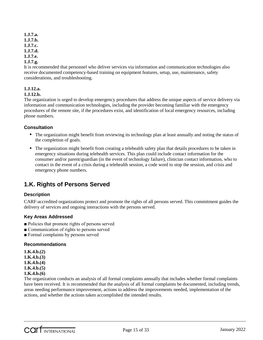**1.J.7.a. 1.J.7.b. 1.J.7.c. 1.J.7.d. 1.J.7.e.**

#### **1.J.7.g.**

It is recommended that personnel who deliver services via information and communication technologies also receive documented competency-based training on equipment features, setup, use, maintenance, safety considerations, and troubleshooting.

#### **1.J.12.a.**

#### **1.J.12.b.**

The organization is urged to develop emergency procedures that address the unique aspects of service delivery via information and communication technologies, including the provider becoming familiar with the emergency procedures of the remote site, if the procedures exist, and identification of local emergency resources, including phone numbers.

#### **Consultation**

- The organization might benefit from reviewing its technology plan at least annually and noting the status of the completion of goals.
- The organization might benefit from creating a telehealth safety plan that details procedures to be taken in emergency situations during telehealth services. This plan could include contact information for the consumer and/or parent/guardian (in the event of technology failure), clinician contact information, who to contact in the event of a crisis during a telehealth session, a code word to stop the session, and crisis and emergency phone numbers.

## **1.K. Rights of Persons Served**

#### **Description**

CARF-accredited organizations protect and promote the rights of all persons served. This commitment guides the delivery of services and ongoing interactions with the persons served.

#### **Key Areas Addressed**

- Policies that promote rights of persons served
- Communication of rights to persons served
- Formal complaints by persons served

#### **Recommendations**

**1.K.4.b.(2)**

- **1.K.4.b.(3)**
- **1.K.4.b.(4)**
- **1.K.4.b.(5)**
- **1.K.4.b.(6)**

The organization conducts an analysis of all formal complaints annually that includes whether formal complaints have been received. It is recommended that the analysis of all formal complaints be documented, including trends, areas needing performance improvement, actions to address the improvements needed, implementation of the actions, and whether the actions taken accomplished the intended results.

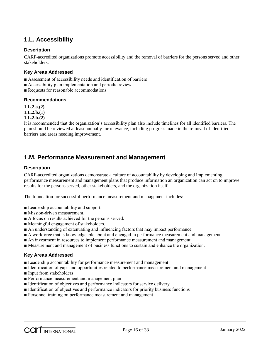## **1.L. Accessibility**

#### **Description**

CARF-accredited organizations promote accessibility and the removal of barriers for the persons served and other stakeholders.

#### **Key Areas Addressed**

- Assessment of accessibility needs and identification of barriers
- Accessibility plan implementation and periodic review
- Requests for reasonable accommodations

#### **Recommendations**

**1.L.2.a.(2)**

**1.L.2.b.(1)**

#### **1.L.2.b.(2)**

It is recommended that the organization's accessibility plan also include timelines for all identified barriers. The plan should be reviewed at least annually for relevance, including progress made in the removal of identified barriers and areas needing improvement.

### **1.M. Performance Measurement and Management**

#### **Description**

CARF-accredited organizations demonstrate a culture of accountability by developing and implementing performance measurement and management plans that produce information an organization can act on to improve results for the persons served, other stakeholders, and the organization itself.

The foundation for successful performance measurement and management includes:

- Leadership accountability and support.
- Mission-driven measurement.
- A focus on results achieved for the persons served.
- Meaningful engagement of stakeholders.
- An understanding of extenuating and influencing factors that may impact performance.
- A workforce that is knowledgeable about and engaged in performance measurement and management.
- An investment in resources to implement performance measurement and management.
- Measurement and management of business functions to sustain and enhance the organization.

- Leadership accountability for performance measurement and management
- Identification of gaps and opportunities related to performance measurement and management
- Input from stakeholders
- Performance measurement and management plan
- Identification of objectives and performance indicators for service delivery
- Identification of objectives and performance indicators for priority business functions
- Personnel training on performance measurement and management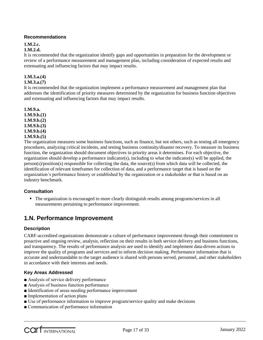#### **1.M.2.c.**

#### **1.M.2.d.**

It is recommended that the organization identify gaps and opportunities in preparation for the development or review of a performance measurement and management plan, including consideration of expected results and extenuating and influencing factors that may impact results.

### **1.M.3.a.(4)**

#### **1.M.3.a.(7)**

It is recommended that the organization implement a performance measurement and management plan that addresses the identification of priority measures determined by the organization for business function objectives and extenuating and influencing factors that may impact results.

#### **1.M.9.a. 1.M.9.b.(1) 1.M.9.b.(2) 1.M.9.b.(3) 1.M.9.b.(4) 1.M.9.b.(5)**

The organization measures some business functions, such as finance, but not others, such as testing all emergency procedures, analyzing critical incidents, and testing business continuity/disaster recovery. To measure its business function, the organization should document objectives in priority areas it determines. For each objective, the organization should develop a performance indicator(s), including to what the indicator(s) will be applied, the person(s)/position(s) responsible for collecting the data, the source(s) from which data will be collected, the identification of relevant timeframes for collection of data, and a performance target that is based on the organization's performance history or established by the organization or a stakeholder or that is based on an industry benchmark.

#### **Consultation**

• The organization is encouraged to more clearly distinguish results among programs/services in all measurements pertaining to performance improvement.

## **1.N. Performance Improvement**

#### **Description**

CARF-accredited organizations demonstrate a culture of performance improvement through their commitment to proactive and ongoing review, analysis, reflection on their results in both service delivery and business functions, and transparency. The results of performance analysis are used to identify and implement data-driven actions to improve the quality of programs and services and to inform decision making. Performance information that is accurate and understandable to the target audience is shared with persons served, personnel, and other stakeholders in accordance with their interests and needs.

- Analysis of service delivery performance
- Analysis of business function performance
- Identification of areas needing performance improvement
- Implementation of action plans
- Use of performance information to improve program/service quality and make decisions
- Communication of performance information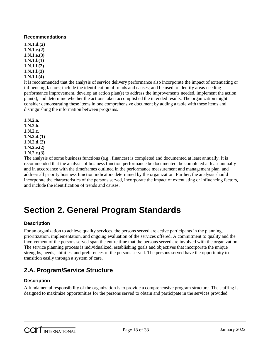**1.N.1.d.(2) 1.N.1.e.(2) 1.N.1.e.(3) 1.N.1.f.(1) 1.N.1.f.(2) 1.N.1.f.(3) 1.N.1.f.(4)**

It is recommended that the analysis of service delivery performance also incorporate the impact of extenuating or influencing factors; include the identification of trends and causes; and be used to identify areas needing performance improvement, develop an action plan(s) to address the improvements needed, implement the action plan(s), and determine whether the actions taken accomplished the intended results. The organization might consider demonstrating these items in one comprehensive document by adding a table with these items and distinguishing the information between programs.

**1.N.2.a. 1.N.2.b. 1.N.2.c. 1.N.2.d.(1) 1.N.2.d.(2) 1.N.2.e.(2) 1.N.2.e.(3)**

The analysis of some business functions (e.g., finances) is completed and documented at least annually. It is recommended that the analysis of business function performance be documented, be completed at least annually and in accordance with the timeframes outlined in the performance measurement and management plan, and address all priority business function indicators determined by the organization. Further, the analysis should incorporate the characteristics of the persons served, incorporate the impact of extenuating or influencing factors, and include the identification of trends and causes.

# **Section 2. General Program Standards**

#### **Description**

For an organization to achieve quality services, the persons served are active participants in the planning, prioritization, implementation, and ongoing evaluation of the services offered. A commitment to quality and the involvement of the persons served span the entire time that the persons served are involved with the organization. The service planning process is individualized, establishing goals and objectives that incorporate the unique strengths, needs, abilities, and preferences of the persons served. The persons served have the opportunity to transition easily through a system of care.

# **2.A. Program/Service Structure**

#### **Description**

A fundamental responsibility of the organization is to provide a comprehensive program structure. The staffing is designed to maximize opportunities for the persons served to obtain and participate in the services provided.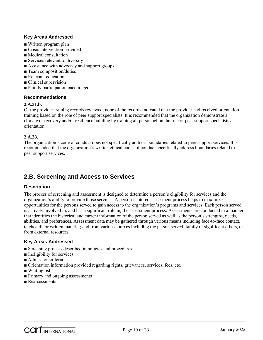#### **Key Areas Addressed**

- Written program plan
- Crisis intervention provided
- Medical consultation
- Services relevant to diversity
- Assistance with advocacy and support groups
- Team composition/duties
- Relevant education
- Clinical supervision
- Family participation encouraged

#### **Recommendations**

#### **2.A.31.b.**

Of the provider training records reviewed, none of the records indicated that the provider had received orientation training based on the role of peer support specialists. It is recommended that the organization demonstrate a climate of recovery and/or resilience building by training all personnel on the role of peer support specialists at orientation.

#### **2.A.33.**

The organization's code of conduct does not specifically address boundaries related to peer support services. It is recommended that the organization's written ethical codes of conduct specifically address boundaries related to peer support services.

## **2.B. Screening and Access to Services**

#### **Description**

The process of screening and assessment is designed to determine a person's eligibility for services and the organization's ability to provide those services. A person-centered assessment process helps to maximize opportunities for the persons served to gain access to the organization's programs and services. Each person served is actively involved in, and has a significant role in, the assessment process. Assessments are conducted in a manner that identifies the historical and current information of the person served as well as the person's strengths, needs, abilities, and preferences. Assessment data may be gathered through various means including face-to-face contact, telehealth, or written material; and from various sources including the person served, family or significant others, or from external resources.

- Screening process described in policies and procedures
- Ineligibility for services
- Admission criteria
- Orientation information provided regarding rights, grievances, services, fees, etc.
- Waiting list
- Primary and ongoing assessments
- Reassessments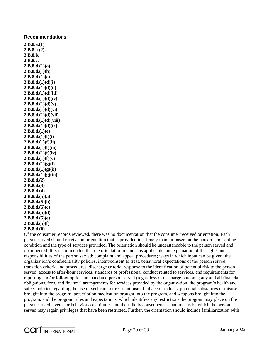**2.B.8.a.(1) 2.B.8.a.(2) 2.B.8.b. 2.B.8.c. 2.B.8.d.(1)(a) 2.B.8.d.(1)(b) 2.B.8.d.(1)(c) 2.B.8.d.(1)(d)(i) 2.B.8.d.(1)(d)(ii) 2.B.8.d.(1)(d)(iii) 2.B.8.d.(1)(d)(iv) 2.B.8.d.(1)(d)(v) 2.B.8.d.(1)(d)(vi) 2.B.8.d.(1)(d)(vii) 2.B.8.d.(1)(d)(viii) 2.B.8.d.(1)(d)(ix) 2.B.8.d.(1)(e) 2.B.8.d.(1)(f)(i) 2.B.8.d.(1)(f)(ii) 2.B.8.d.(1)(f)(iii) 2.B.8.d.(1)(f)(iv) 2.B.8.d.(1)(f)(v) 2.B.8.d.(1)(g)(i) 2.B.8.d.(1)(g)(ii) 2.B.8.d.(1)(g)(iii) 2.B.8.d.(2) 2.B.8.d.(3) 2.B.8.d.(4) 2.B.8.d.(5)(a) 2.B.8.d.(5)(b) 2.B.8.d.(5)(c) 2.B.8.d.(5)(d) 2.B.8.d.(5)(e) 2.B.8.d.(5)(f)**

**2.B.8.d.(6)**

Of the consumer records reviewed, there was no documentation that the consumer received orientation. Each person served should receive an orientation that is provided in a timely manner based on the person's presenting condition and the type of services provided. The orientation should be understandable to the person served and documented. It is recommended that the orientation include, as applicable, an explanation of the rights and responsibilities of the person served; complaint and appeal procedures; ways in which input can be given; the organization's confidentiality policies, intent/consent to treat, behavioral expectations of the person served, transition criteria and procedures, discharge criteria, response to the identification of potential risk to the person served, access to after-hour services, standards of professional conduct related to services, and requirements for reporting and/or follow-up for the mandated person served (regardless of discharge outcome; any and all financial obligations, fees, and financial arrangements for services provided by the organization; the program's health and safety policies regarding the use of seclusion or restraint, use of tobacco products, potential substances of misuse brought into the program, prescription medication brought into the program, and weapons brought into the program; and the program rules and expectations, which identifies any restrictions the program may place on the person served, events or behaviors or attitudes and their likely consequences, and means by which the person served may regain privileges that have been restricted. Further, the orientation should include familiarization with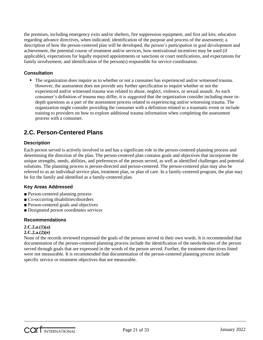the premises, including emergency exits and/or shelters, fire suppression equipment, and first aid kits; education regarding advance directives, when indicated; identification of the purpose and process of the assessment; a description of how the person-centered plan will be developed, the person's participation in goal development and achievement, the potential course of treatment and/or services, how motivational incentives may be used (if applicable), expectations for legally required appointments or sanctions or court notifications, and expectations for family involvement; and identification of the person(s) responsible for service coordination.

#### **Consultation**

 The organization does inquire as to whether or not a consumer has experienced and/or witnessed trauma. However, the assessment does not provide any further specification to inquire whether or not the experienced and/or witnessed trauma was related to abuse, neglect, violence, or sexual assault. As each consumer's definition of trauma may differ, it is suggested that the organization consider including more indepth questions as a part of the assessment process related to experiencing and/or witnessing trauma. The organization might consider providing the consumer with a definition related to a traumatic event or include training to providers on how to explore additional trauma information when completing the assessment process with a consumer.

## **2.C. Person-Centered Plans**

#### **Description**

Each person served is actively involved in and has a significant role in the person-centered planning process and determining the direction of the plan. The person-centered plan contains goals and objectives that incorporate the unique strengths, needs, abilities, and preferences of the person served, as well as identified challenges and potential solutions. The planning process is person-directed and person-centered. The person-centered plan may also be referred to as an individual service plan, treatment plan, or plan of care. In a family-centered program, the plan may be for the family and identified as a family-centered plan.

#### **Key Areas Addressed**

- Person-centered planning process
- Co-occurring disabilities/disorders
- Person-centered goals and objectives
- Designated person coordinates services

#### **Recommendations**

#### **2.C.2.a.(1)(a)**

#### **2.C.2.a.(2)(e)**

None of the records reviewed expressed the goals of the persons served in their own words. It is recommended that documentation of the person-centered planning process include the identification of the needs/desires of the person served through goals that are expressed in the words of the person served. Further, the treatment objectives listed were not measurable. It is recommended that documentation of the person-centered planning process include specific service or treatment objectives that are measurable.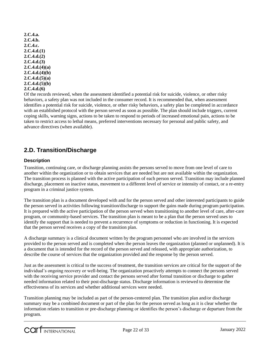**2.C.4.a. 2.C.4.b. 2.C.4.c. 2.C.4.d.(1) 2.C.4.d.(2) 2.C.4.d.(3) 2.C.4.d.(4)(a) 2.C.4.d.(4)(b) 2.C.4.d.(5)(a) 2.C.4.d.(5)(b) 2.C.4.d.(6)**

Of the records reviewed, when the assessment identified a potential risk for suicide, violence, or other risky behaviors, a safety plan was not included in the consumer record. It is recommended that, when assessment identifies a potential risk for suicide, violence, or other risky behaviors, a safety plan be completed in accordance with an established protocol with the person served as soon as possible. The plan should include triggers, current coping skills, warning signs, actions to be taken to respond to periods of increased emotional pain, actions to be taken to restrict access to lethal means, preferred interventions necessary for personal and public safety, and advance directives (when available).

## **2.D. Transition/Discharge**

#### **Description**

Transition, continuing care, or discharge planning assists the persons served to move from one level of care to another within the organization or to obtain services that are needed but are not available within the organization. The transition process is planned with the active participation of each person served. Transition may include planned discharge, placement on inactive status, movement to a different level of service or intensity of contact, or a re-entry program in a criminal justice system.

The transition plan is a document developed with and for the person served and other interested participants to guide the person served in activities following transition/discharge to support the gains made during program participation. It is prepared with the active participation of the person served when transitioning to another level of care, after-care program, or community-based services. The transition plan is meant to be a plan that the person served uses to identify the support that is needed to prevent a recurrence of symptoms or reduction in functioning. It is expected that the person served receives a copy of the transition plan.

A discharge summary is a clinical document written by the program personnel who are involved in the services provided to the person served and is completed when the person leaves the organization (planned or unplanned). It is a document that is intended for the record of the person served and released, with appropriate authorization, to describe the course of services that the organization provided and the response by the person served.

Just as the assessment is critical to the success of treatment, the transition services are critical for the support of the individual's ongoing recovery or well-being. The organization proactively attempts to connect the persons served with the receiving service provider and contact the persons served after formal transition or discharge to gather needed information related to their post-discharge status. Discharge information is reviewed to determine the effectiveness of its services and whether additional services were needed.

Transition planning may be included as part of the person-centered plan. The transition plan and/or discharge summary may be a combined document or part of the plan for the person served as long as it is clear whether the information relates to transition or pre-discharge planning or identifies the person's discharge or departure from the program.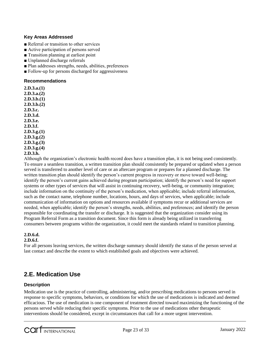#### **Key Areas Addressed**

- Referral or transition to other services
- Active participation of persons served
- Transition planning at earliest point
- Unplanned discharge referrals
- Plan addresses strengths, needs, abilities, preferences
- Follow-up for persons discharged for aggressiveness

#### **Recommendations**

**2.D.3.a.(1) 2.D.3.a.(2) 2.D.3.b.(1) 2.D.3.b.(2) 2.D.3.c. 2.D.3.d. 2.D.3.e. 2.D.3.f. 2.D.3.g.(1) 2.D.3.g.(2) 2.D.3.g.(3) 2.D.3.g.(4) 2.D.3.h.**

Although the organization's electronic health record does have a transition plan, it is not being used consistently. To ensure a seamless transition, a written transition plan should consistently be prepared or updated when a person served is transferred to another level of care or an aftercare program or prepares for a planned discharge. The written transition plan should identify the person's current progress in recovery or move toward well-being; identify the person's current gains achieved during program participation; identify the person's need for support systems or other types of services that will assist in continuing recovery, well-being, or community integration; include information on the continuity of the person's medication, when applicable; include referral information, such as the contact name, telephone number, locations, hours, and days of services, when applicable; include communication of information on options and resources available if symptoms recur or additional services are needed, when applicable; identify the person's strengths, needs, abilities, and preferences; and identify the person responsible for coordinating the transfer or discharge. It is suggested that the organization consider using its Program Referral Form as a transition document. Since this form is already being utilized in transferring consumers between programs within the organization, it could meet the standards related to transition planning.

#### **2.D.6.d.**

#### **2.D.6.f.**

For all persons leaving services, the written discharge summary should identify the status of the person served at last contact and describe the extent to which established goals and objectives were achieved.

## **2.E. Medication Use**

#### **Description**

Medication use is the practice of controlling, administering, and/or prescribing medications to persons served in response to specific symptoms, behaviors, or conditions for which the use of medications is indicated and deemed efficacious. The use of medication is one component of treatment directed toward maximizing the functioning of the persons served while reducing their specific symptoms. Prior to the use of medications other therapeutic interventions should be considered, except in circumstances that call for a more urgent intervention.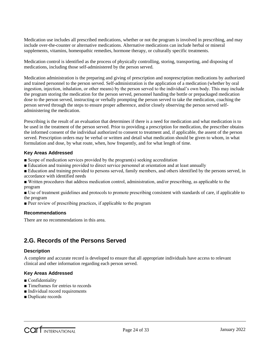Medication use includes all prescribed medications, whether or not the program is involved in prescribing, and may include over-the-counter or alternative medications. Alternative medications can include herbal or mineral supplements, vitamins, homeopathic remedies, hormone therapy, or culturally specific treatments.

Medication control is identified as the process of physically controlling, storing, transporting, and disposing of medications, including those self-administered by the person served.

Medication administration is the preparing and giving of prescription and nonprescription medications by authorized and trained personnel to the person served. Self-administration is the application of a medication (whether by oral ingestion, injection, inhalation, or other means) by the person served to the individual's own body. This may include the program storing the medication for the person served, personnel handing the bottle or prepackaged medication dose to the person served, instructing or verbally prompting the person served to take the medication, coaching the person served through the steps to ensure proper adherence, and/or closely observing the person served selfadministering the medication.

Prescribing is the result of an evaluation that determines if there is a need for medication and what medication is to be used in the treatment of the person served. Prior to providing a prescription for medication, the prescriber obtains the informed consent of the individual authorized to consent to treatment and, if applicable, the assent of the person served. Prescription orders may be verbal or written and detail what medication should be given to whom, in what formulation and dose, by what route, when, how frequently, and for what length of time.

#### **Key Areas Addressed**

- Scope of medication services provided by the program(s) seeking accreditation
- Education and training provided to direct service personnel at orientation and at least annually

■ Education and training provided to persons served, family members, and others identified by the persons served, in accordance with identified needs

■ Written procedures that address medication control, administration, and/or prescribing, as applicable to the program

■ Use of treatment guidelines and protocols to promote prescribing consistent with standards of care, if applicable to the program

■ Peer review of prescribing practices, if applicable to the program

#### **Recommendations**

There are no recommendations in this area.

## **2.G. Records of the Persons Served**

#### **Description**

A complete and accurate record is developed to ensure that all appropriate individuals have access to relevant clinical and other information regarding each person served.

- Confidentiality
- Timeframes for entries to records
- Individual record requirements
- Duplicate records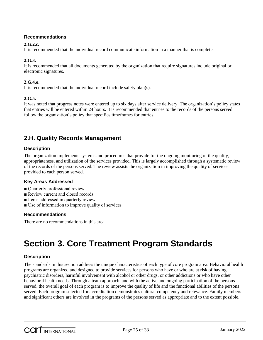#### **2.G.2.c.**

It is recommended that the individual record communicate information in a manner that is complete.

#### **2.G.3.**

It is recommended that all documents generated by the organization that require signatures include original or electronic signatures.

#### **2.G.4.o.**

It is recommended that the individual record include safety plan(s).

#### **2.G.5.**

It was noted that progress notes were entered up to six days after service delivery. The organization's policy states that entries will be entered within 24 hours. It is recommended that entries to the records of the persons served follow the organization's policy that specifies timeframes for entries.

### **2.H. Quality Records Management**

#### **Description**

The organization implements systems and procedures that provide for the ongoing monitoring of the quality, appropriateness, and utilization of the services provided. This is largely accomplished through a systematic review of the records of the persons served. The review assists the organization in improving the quality of services provided to each person served.

#### **Key Areas Addressed**

- Quarterly professional review
- Review current and closed records
- Items addressed in quarterly review
- Use of information to improve quality of services

#### **Recommendations**

There are no recommendations in this area.

# **Section 3. Core Treatment Program Standards**

#### **Description**

The standards in this section address the unique characteristics of each type of core program area. Behavioral health programs are organized and designed to provide services for persons who have or who are at risk of having psychiatric disorders, harmful involvement with alcohol or other drugs, or other addictions or who have other behavioral health needs. Through a team approach, and with the active and ongoing participation of the persons served, the overall goal of each program is to improve the quality of life and the functional abilities of the persons served. Each program selected for accreditation demonstrates cultural competency and relevance. Family members and significant others are involved in the programs of the persons served as appropriate and to the extent possible.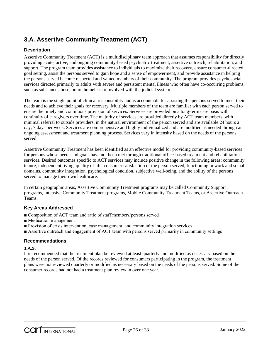# **3.A. Assertive Community Treatment (ACT)**

#### **Description**

Assertive Community Treatment (ACT) is a multidisciplinary team approach that assumes responsibility for directly providing acute, active, and ongoing community-based psychiatric treatment, assertive outreach, rehabilitation, and support. The program team provides assistance to individuals to maximize their recovery, ensure consumer-directed goal setting, assist the persons served to gain hope and a sense of empowerment, and provide assistance in helping the persons served become respected and valued members of their community. The program provides psychosocial services directed primarily to adults with severe and persistent mental illness who often have co-occurring problems, such as substance abuse, or are homeless or involved with the judicial system.

The team is the single point of clinical responsibility and is accountable for assisting the persons served to meet their needs and to achieve their goals for recovery. Multiple members of the team are familiar with each person served to ensure the timely and continuous provision of services. Services are provided on a long-term care basis with continuity of caregivers over time. The majority of services are provided directly by ACT team members, with minimal referral to outside providers, in the natural environment of the person served and are available 24 hours a day, 7 days per week. Services are comprehensive and highly individualized and are modified as needed through an ongoing assessment and treatment planning process. Services vary in intensity based on the needs of the persons served.

Assertive Community Treatment has been identified as an effective model for providing community-based services for persons whose needs and goals have not been met through traditional office-based treatment and rehabilitation services. Desired outcomes specific to ACT services may include positive change in the following areas: community tenure, independent living, quality of life, consumer satisfaction of the person served, functioning in work and social domains, community integration, psychological condition, subjective well-being, and the ability of the persons served to manage their own healthcare.

In certain geographic areas, Assertive Community Treatment programs may be called Community Support programs, Intensive Community Treatment programs, Mobile Community Treatment Teams, or Assertive Outreach Teams.

#### **Key Areas Addressed**

- Composition of ACT team and ratio of staff members/persons served
- Medication management
- Provision of crisis intervention, case management, and community integration services
- Assertive outreach and engagement of ACT team with persons served primarily in community settings

#### **Recommendations**

#### **3.A.9.**

It is recommended that the treatment plan be reviewed at least quarterly and modified as necessary based on the needs of the person served. Of the records reviewed for consumers participating in the program, the treatment plans were not reviewed quarterly or modified as necessary based on the needs of the persons served. Some of the consumer records had not had a treatment plan review in over one year.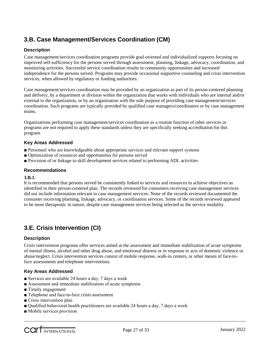# **3.B. Case Management/Services Coordination (CM)**

#### **Description**

Case management/services coordination programs provide goal-oriented and individualized supports focusing on improved self-sufficiency for the persons served through assessment, planning, linkage, advocacy, coordination, and monitoring activities. Successful service coordination results in community opportunities and increased independence for the persons served. Programs may provide occasional supportive counseling and crisis intervention services, when allowed by regulatory or funding authorities.

Case management/services coordination may be provided by an organization as part of its person-centered planning and delivery, by a department or division within the organization that works with individuals who are internal and/or external to the organization, or by an organization with the sole purpose of providing case management/services coordination. Such programs are typically provided by qualified case managers/coordinators or by case management teams.

Organizations performing case management/services coordination as a routine function of other services or programs are not required to apply these standards unless they are specifically seeking accreditation for this program.

#### **Key Areas Addressed**

- Personnel who are knowledgeable about appropriate services and relevant support systems
- Optimization of resources and opportunities for persons served
- Provision of or linkage to skill development services related to performing ADL activities

#### **Recommendations**

#### **3.B.1.**

It is recommended that persons served be consistently linked to services and resources to achieve objectives as identified in their person-centered plan. The records reviewed for consumers receiving case management services did not include information relevant to case management services. None of the records reviewed documented the consumer receiving planning, linkage, advocacy, or coordination services. Some of the records reviewed appeared to be more therapeutic in nature, despite case management services being selected as the service modality.

# **3.E. Crisis Intervention (CI)**

#### **Description**

Crisis intervention programs offer services aimed at the assessment and immediate stabilization of acute symptoms of mental illness, alcohol and other drug abuse, and emotional distress or in response to acts of domestic violence or abuse/neglect. Crisis intervention services consist of mobile response, walk-in centers, or other means of face-toface assessments and telephone interventions.

- Services are available 24 hours a day, 7 days a week
- Assessment and immediate stabilization of acute symptoms
- Timely engagement
- Telephone and face-to-face crisis assessment
- Crisis intervention plan
- Qualified behavioral health practitioners are available 24 hours a day, 7 days a week
- Mobile services provision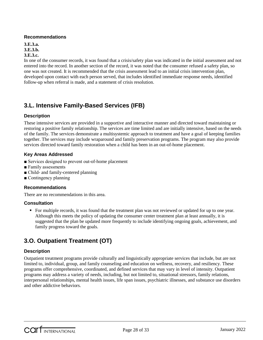**3.E.3.a. 3.E.3.b. 3.E.3.c.**

In one of the consumer records, it was found that a crisis/safety plan was indicated in the initial assessment and not entered into the record. In another section of the record, it was noted that the consumer refused a safety plan, so one was not created. It is recommended that the crisis assessment lead to an initial crisis intervention plan, developed upon contact with each person served, that includes identified immediate response needs, identified follow-up when referral is made, and a statement of crisis resolution.

# **3.L. Intensive Family-Based Services (IFB)**

#### **Description**

These intensive services are provided in a supportive and interactive manner and directed toward maintaining or restoring a positive family relationship. The services are time limited and are initially intensive, based on the needs of the family. The services demonstrate a multisystemic approach to treatment and have a goal of keeping families together. The services may include wraparound and family preservation programs. The program may also provide services directed toward family restoration when a child has been in an out-of-home placement.

#### **Key Areas Addressed**

- Services designed to prevent out-of-home placement
- Family assessments
- Child- and family-centered planning
- Contingency planning

#### **Recommendations**

There are no recommendations in this area.

#### **Consultation**

 For multiple records, it was found that the treatment plan was not reviewed or updated for up to one year. Although this meets the policy of updating the consumer center treatment plan at least annually, it is suggested that the plan be updated more frequently to include identifying ongoing goals, achievement, and family progress toward the goals.

# **3.O. Outpatient Treatment (OT)**

#### **Description**

Outpatient treatment programs provide culturally and linguistically appropriate services that include, but are not limited to, individual, group, and family counseling and education on wellness, recovery, and resiliency. These programs offer comprehensive, coordinated, and defined services that may vary in level of intensity. Outpatient programs may address a variety of needs, including, but not limited to, situational stressors, family relations, interpersonal relationships, mental health issues, life span issues, psychiatric illnesses, and substance use disorders and other addictive behaviors.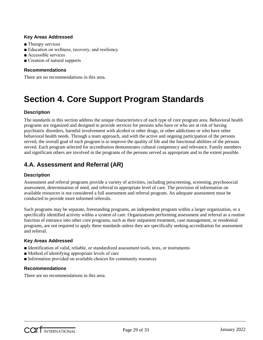#### **Key Areas Addressed**

- Therapy services
- Education on wellness, recovery, and resiliency
- Accessible services
- Creation of natural supports

#### **Recommendations**

There are no recommendations in this area.

# **Section 4. Core Support Program Standards**

#### **Description**

The standards in this section address the unique characteristics of each type of core program area. Behavioral health programs are organized and designed to provide services for persons who have or who are at risk of having psychiatric disorders, harmful involvement with alcohol or other drugs, or other addictions or who have other behavioral health needs. Through a team approach, and with the active and ongoing participation of the persons served, the overall goal of each program is to improve the quality of life and the functional abilities of the persons served. Each program selected for accreditation demonstrates cultural competency and relevance. Family members and significant others are involved in the programs of the persons served as appropriate and to the extent possible.

## **4.A. Assessment and Referral (AR)**

#### **Description**

Assessment and referral programs provide a variety of activities, including prescreening, screening, psychosocial assessment, determination of need, and referral to appropriate level of care. The provision of information on available resources is not considered a full assessment and referral program. An adequate assessment must be conducted to provide more informed referrals.

Such programs may be separate, freestanding programs, an independent program within a larger organization, or a specifically identified activity within a system of care. Organizations performing assessment and referral as a routine function of entrance into other core programs, such as their outpatient treatment, case management, or residential programs, are not required to apply these standards unless they are specifically seeking accreditation for assessment and referral.

#### **Key Areas Addressed**

- Identification of valid, reliable, or standardized assessment tools, tests, or instruments
- Method of identifying appropriate levels of care
- Information provided on available choices for community resources

#### **Recommendations**

There are no recommendations in this area.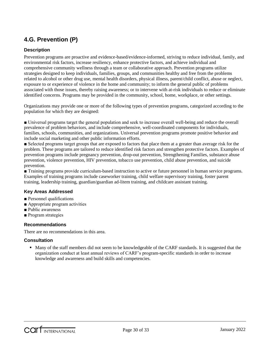# **4.G. Prevention (P)**

#### **Description**

Prevention programs are proactive and evidence-based/evidence-informed, striving to reduce individual, family, and environmental risk factors, increase resiliency, enhance protective factors, and achieve individual and comprehensive community wellness through a team or collaborative approach. Prevention programs utilize strategies designed to keep individuals, families, groups, and communities healthy and free from the problems related to alcohol or other drug use, mental health disorders, physical illness, parent/child conflict, abuse or neglect, exposure to or experience of violence in the home and community; to inform the general public of problems associated with those issues, thereby raising awareness; or to intervene with at-risk individuals to reduce or eliminate identified concerns. Programs may be provided in the community, school, home, workplace, or other settings.

Organizations may provide one or more of the following types of prevention programs, categorized according to the population for which they are designed:

■ Universal programs target the general population and seek to increase overall well-being and reduce the overall prevalence of problem behaviors, and include comprehensive, well-coordinated components for individuals, families, schools, communities, and organizations. Universal prevention programs promote positive behavior and include social marketing and other public information efforts.

■ Selected programs target groups that are exposed to factors that place them at a greater than average risk for the problem. These programs are tailored to reduce identified risk factors and strengthen protective factors. Examples of prevention programs include pregnancy prevention, drop-out prevention, Strengthening Families, substance abuse prevention, violence prevention, HIV prevention, tobacco use prevention, child abuse prevention, and suicide prevention.

■ Training programs provide curriculum-based instruction to active or future personnel in human service programs. Examples of training programs include caseworker training, child welfare supervisory training, foster parent training, leadership training, guardian/guardian ad-litem training, and childcare assistant training.

#### **Key Areas Addressed**

- Personnel qualifications
- Appropriate program activities
- Public awareness
- Program strategies

#### **Recommendations**

There are no recommendations in this area.

#### **Consultation**

Many of the staff members did not seem to be knowledgeable of the CARF standards. It is suggested that the organization conduct at least annual reviews of CARF's program-specific standards in order to increase knowledge and awareness and build skills and competencies.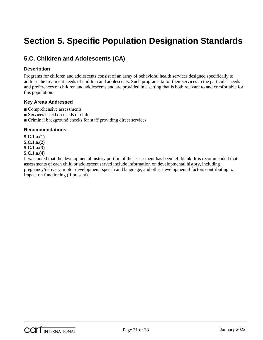# **Section 5. Specific Population Designation Standards**

# **5.C. Children and Adolescents (CA)**

#### **Description**

Programs for children and adolescents consist of an array of behavioral health services designed specifically to address the treatment needs of children and adolescents. Such programs tailor their services to the particular needs and preferences of children and adolescents and are provided in a setting that is both relevant to and comfortable for this population.

#### **Key Areas Addressed**

- Comprehensive assessments
- Services based on needs of child
- Criminal background checks for staff providing direct services

#### **Recommendations**

**5.C.1.a.(1)**

**5.C.1.a.(2)**

**5.C.1.a.(3)**

#### **5.C.1.a.(4)**

It was noted that the developmental history portion of the assessment has been left blank. It is recommended that assessments of each child or adolescent served include information on developmental history, including pregnancy/delivery, motor development, speech and language, and other developmental factors contributing to impact on functioning (if present).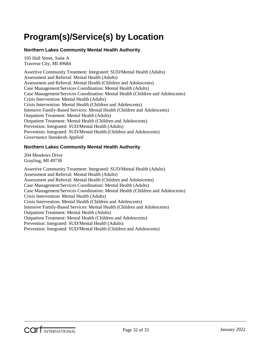# <span id="page-31-0"></span>**Program(s)/Service(s) by Location**

#### **Northern Lakes Community Mental Health Authority**

105 Hall Street, Suite A Traverse City, MI 49684

Assertive Community Treatment: Integrated: SUD/Mental Health (Adults) Assessment and Referral: Mental Health (Adults) Assessment and Referral: Mental Health (Children and Adolescents) Case Management/Services Coordination: Mental Health (Adults) Case Management/Services Coordination: Mental Health (Children and Adolescents) Crisis Intervention: Mental Health (Adults) Crisis Intervention: Mental Health (Children and Adolescents) Intensive Family-Based Services: Mental Health (Children and Adolescents) Outpatient Treatment: Mental Health (Adults) Outpatient Treatment: Mental Health (Children and Adolescents) Prevention: Integrated: SUD/Mental Health (Adults) Prevention: Integrated: SUD/Mental Health (Children and Adolescents) *Governance Standards Applied*

#### **Northern Lakes Community Mental Health Authority**

204 Meadows Drive Grayling, MI 49738

Assertive Community Treatment: Integrated: SUD/Mental Health (Adults) Assessment and Referral: Mental Health (Adults) Assessment and Referral: Mental Health (Children and Adolescents) Case Management/Services Coordination: Mental Health (Adults) Case Management/Services Coordination: Mental Health (Children and Adolescents) Crisis Intervention: Mental Health (Adults) Crisis Intervention: Mental Health (Children and Adolescents) Intensive Family-Based Services: Mental Health (Children and Adolescents) Outpatient Treatment: Mental Health (Adults) Outpatient Treatment: Mental Health (Children and Adolescents) Prevention: Integrated: SUD/Mental Health (Adults) Prevention: Integrated: SUD/Mental Health (Children and Adolescents)